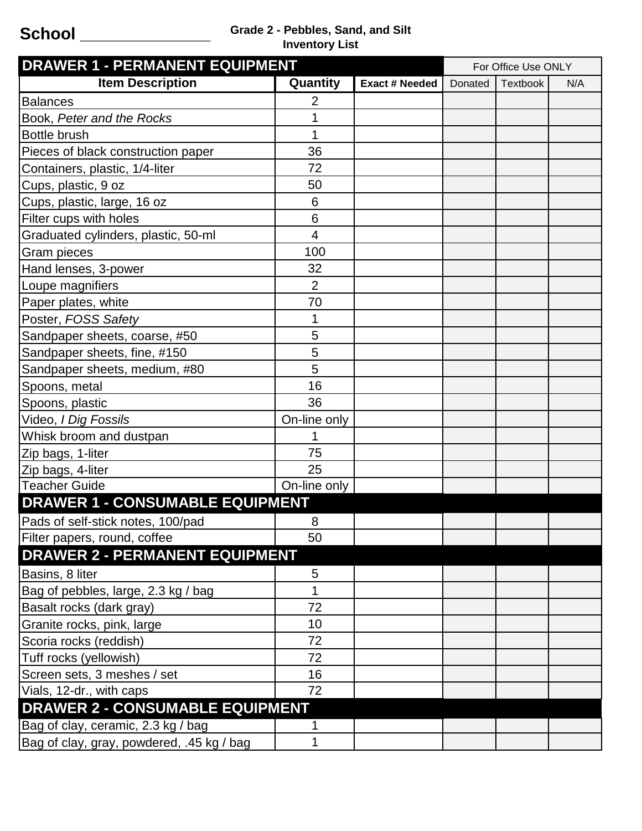## **School \_\_\_\_\_\_\_\_\_\_\_\_\_\_ Grade 2 - Pebbles, Sand, and Silt Inventory List**

| <b>DRAWER 1 - PERMANENT EQUIPMENT</b>     |              |                       |         | For Office Use ONLY |     |  |  |  |
|-------------------------------------------|--------------|-----------------------|---------|---------------------|-----|--|--|--|
| <b>Item Description</b>                   | Quantity     | <b>Exact # Needed</b> | Donated | <b>Textbook</b>     | N/A |  |  |  |
| <b>Balances</b>                           | 2            |                       |         |                     |     |  |  |  |
| Book, Peter and the Rocks                 | 1            |                       |         |                     |     |  |  |  |
| <b>Bottle brush</b>                       | 1            |                       |         |                     |     |  |  |  |
| Pieces of black construction paper        | 36           |                       |         |                     |     |  |  |  |
| Containers, plastic, 1/4-liter            | 72           |                       |         |                     |     |  |  |  |
| Cups, plastic, 9 oz                       | 50           |                       |         |                     |     |  |  |  |
| Cups, plastic, large, 16 oz               | 6            |                       |         |                     |     |  |  |  |
| Filter cups with holes                    | 6            |                       |         |                     |     |  |  |  |
| Graduated cylinders, plastic, 50-ml       | 4            |                       |         |                     |     |  |  |  |
| Gram pieces                               | 100          |                       |         |                     |     |  |  |  |
| Hand lenses, 3-power                      | 32           |                       |         |                     |     |  |  |  |
| Loupe magnifiers                          | 2            |                       |         |                     |     |  |  |  |
| Paper plates, white                       | 70           |                       |         |                     |     |  |  |  |
| Poster, FOSS Safety                       | 1            |                       |         |                     |     |  |  |  |
| Sandpaper sheets, coarse, #50             | 5            |                       |         |                     |     |  |  |  |
| Sandpaper sheets, fine, #150              | 5            |                       |         |                     |     |  |  |  |
| Sandpaper sheets, medium, #80             | 5            |                       |         |                     |     |  |  |  |
| Spoons, metal                             | 16           |                       |         |                     |     |  |  |  |
| Spoons, plastic                           | 36           |                       |         |                     |     |  |  |  |
| Video, I Dig Fossils                      | On-line only |                       |         |                     |     |  |  |  |
| Whisk broom and dustpan                   |              |                       |         |                     |     |  |  |  |
| Zip bags, 1-liter                         | 75           |                       |         |                     |     |  |  |  |
| Zip bags, 4-liter                         | 25           |                       |         |                     |     |  |  |  |
| <b>Teacher Guide</b>                      | On-line only |                       |         |                     |     |  |  |  |
| <b>DRAWER 1 - CONSUMABLE EQUIPMENT</b>    |              |                       |         |                     |     |  |  |  |
| Pads of self-stick notes, 100/pad         | 8            |                       |         |                     |     |  |  |  |
| Filter papers, round, coffee              | 50           |                       |         |                     |     |  |  |  |
| <b>DRAWER 2 - PERMANENT EQUIPMENT</b>     |              |                       |         |                     |     |  |  |  |
| Basins, 8 liter                           | 5            |                       |         |                     |     |  |  |  |
| Bag of pebbles, large, 2.3 kg / bag       |              |                       |         |                     |     |  |  |  |
| Basalt rocks (dark gray)                  | 72           |                       |         |                     |     |  |  |  |
| Granite rocks, pink, large                | 10           |                       |         |                     |     |  |  |  |
| Scoria rocks (reddish)                    | 72           |                       |         |                     |     |  |  |  |
| Tuff rocks (yellowish)                    | 72           |                       |         |                     |     |  |  |  |
| Screen sets, 3 meshes / set               | 16           |                       |         |                     |     |  |  |  |
| Vials, 12-dr., with caps                  | 72           |                       |         |                     |     |  |  |  |
| <b>DRAWER 2 - CONSUMABLE EQUIPMENT</b>    |              |                       |         |                     |     |  |  |  |
| Bag of clay, ceramic, 2.3 kg / bag        | 1            |                       |         |                     |     |  |  |  |
| Bag of clay, gray, powdered, .45 kg / bag | 1            |                       |         |                     |     |  |  |  |